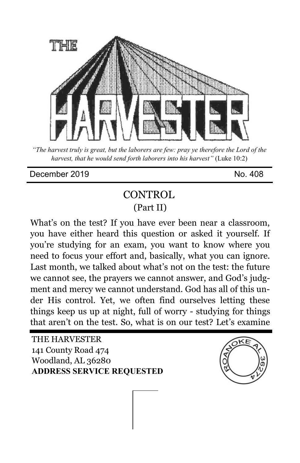

*"The harvest truly is great, but the laborers are few: pray ye therefore the Lord of the harvest, that he would send forth laborers into his harvest"* (Luke 10:2)

December 2019 No. 308

## **CONTROL** (Part II)

What's on the test? If you have ever been near a classroom, you have either heard this question or asked it yourself. If you're studying for an exam, you want to know where you need to focus your effort and, basically, what you can ignore. Last month, we talked about what's not on the test: the future we cannot see, the prayers we cannot answer, and God's judgment and mercy we cannot understand. God has all of this under His control. Yet, we often find ourselves letting these things keep us up at night, full of worry - studying for things that aren't on the test. So, what is on our test? Let's examine

THE HARVESTER 141 County Road 474 Woodland, AL 36280 **ADDRESS SERVICE REQUESTED**

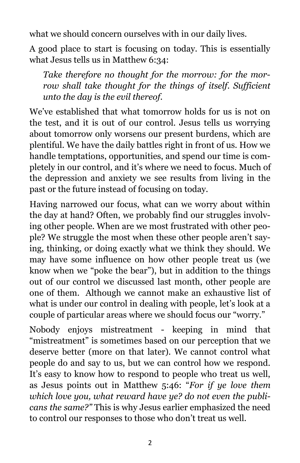what we should concern ourselves with in our daily lives.

A good place to start is focusing on today. This is essentially what Jesus tells us in Matthew 6:34:

*Take therefore no thought for the morrow: for the morrow shall take thought for the things of itself. Sufficient unto the day is the evil thereof.*

We've established that what tomorrow holds for us is not on the test, and it is out of our control. Jesus tells us worrying about tomorrow only worsens our present burdens, which are plentiful. We have the daily battles right in front of us. How we handle temptations, opportunities, and spend our time is completely in our control, and it's where we need to focus. Much of the depression and anxiety we see results from living in the past or the future instead of focusing on today.

Having narrowed our focus, what can we worry about within the day at hand? Often, we probably find our struggles involving other people. When are we most frustrated with other people? We struggle the most when these other people aren't saying, thinking, or doing exactly what we think they should. We may have some influence on how other people treat us (we know when we "poke the bear"), but in addition to the things out of our control we discussed last month, other people are one of them. Although we cannot make an exhaustive list of what is under our control in dealing with people, let's look at a couple of particular areas where we should focus our "worry."

Nobody enjoys mistreatment - keeping in mind that "mistreatment" is sometimes based on our perception that we deserve better (more on that later). We cannot control what people do and say to us, but we can control how we respond. It's easy to know how to respond to people who treat us well, as Jesus points out in Matthew 5:46: "*For if ye love them which love you, what reward have ye? do not even the publicans the same?"* This is why Jesus earlier emphasized the need to control our responses to those who don't treat us well.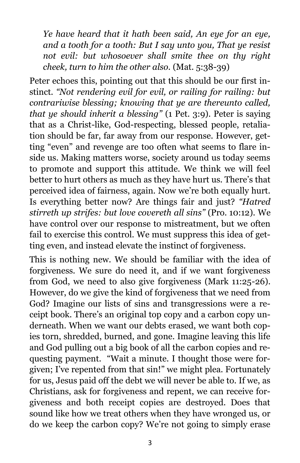*Ye have heard that it hath been said, An eye for an eye, and a tooth for a tooth: But I say unto you, That ye resist not evil: but whosoever shall smite thee on thy right cheek, turn to him the other also.* (Mat. 5:38-39)

Peter echoes this, pointing out that this should be our first instinct*. "Not rendering evil for evil, or railing for railing: but contrariwise blessing; knowing that ye are thereunto called, that ye should inherit a blessing"* (1 Pet. 3:9). Peter is saying that as a Christ-like, God-respecting, blessed people, retaliation should be far, far away from our response. However, getting "even" and revenge are too often what seems to flare inside us. Making matters worse, society around us today seems to promote and support this attitude. We think we will feel better to hurt others as much as they have hurt us. There's that perceived idea of fairness, again. Now we're both equally hurt. Is everything better now? Are things fair and just? *"Hatred stirreth up strifes: but love covereth all sins"* (Pro. 10:12). We have control over our response to mistreatment, but we often fail to exercise this control. We must suppress this idea of getting even, and instead elevate the instinct of forgiveness*.*

This is nothing new. We should be familiar with the idea of forgiveness. We sure do need it, and if we want forgiveness from God, we need to also give forgiveness (Mark 11:25-26). However, do we give the kind of forgiveness that we need from God? Imagine our lists of sins and transgressions were a receipt book. There's an original top copy and a carbon copy underneath. When we want our debts erased, we want both copies torn, shredded, burned, and gone. Imagine leaving this life and God pulling out a big book of all the carbon copies and requesting payment. "Wait a minute. I thought those were forgiven; I've repented from that sin!" we might plea. Fortunately for us, Jesus paid off the debt we will never be able to. If we, as Christians, ask for forgiveness and repent, we can receive forgiveness and both receipt copies are destroyed. Does that sound like how we treat others when they have wronged us, or do we keep the carbon copy? We're not going to simply erase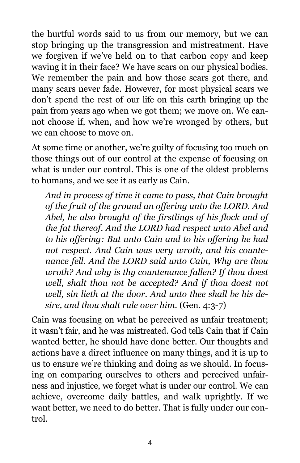the hurtful words said to us from our memory, but we can stop bringing up the transgression and mistreatment. Have we forgiven if we've held on to that carbon copy and keep waving it in their face? We have scars on our physical bodies. We remember the pain and how those scars got there, and many scars never fade. However, for most physical scars we don't spend the rest of our life on this earth bringing up the pain from years ago when we got them; we move on. We cannot choose if, when, and how we're wronged by others, but we can choose to move on.

At some time or another, we're guilty of focusing too much on those things out of our control at the expense of focusing on what is under our control. This is one of the oldest problems to humans, and we see it as early as Cain.

*And in process of time it came to pass, that Cain brought of the fruit of the ground an offering unto the LORD. And Abel, he also brought of the firstlings of his flock and of the fat thereof. And the LORD had respect unto Abel and to his offering: But unto Cain and to his offering he had not respect. And Cain was very wroth, and his countenance fell. And the LORD said unto Cain, Why are thou wroth? And why is thy countenance fallen? If thou doest well, shalt thou not be accepted? And if thou doest not well, sin lieth at the door. And unto thee shall be his desire, and thou shalt rule over him.* (Gen. 4:3-7)

Cain was focusing on what he perceived as unfair treatment; it wasn't fair, and he was mistreated. God tells Cain that if Cain wanted better, he should have done better. Our thoughts and actions have a direct influence on many things, and it is up to us to ensure we're thinking and doing as we should. In focusing on comparing ourselves to others and perceived unfairness and injustice, we forget what is under our control. We can achieve, overcome daily battles, and walk uprightly. If we want better, we need to do better. That is fully under our control.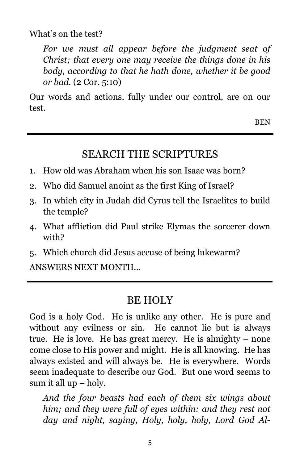What's on the test?

*For we must all appear before the judgment seat of Christ; that every one may receive the things done in his body, according to that he hath done, whether it be good or bad.* (2 Cor. 5:10)

Our words and actions, fully under our control, are on our test.

BEN

## SEARCH THE SCRIPTURES

- 1. How old was Abraham when his son Isaac was born?
- 2. Who did Samuel anoint as the first King of Israel?
- 3. In which city in Judah did Cyrus tell the Israelites to build the temple?
- 4. What affliction did Paul strike Elymas the sorcerer down with?
- 5. Which church did Jesus accuse of being lukewarm?

ANSWERS NEXT MONTH...

## BE HOLY

God is a holy God. He is unlike any other. He is pure and without any evilness or sin. He cannot lie but is always true. He is love. He has great mercy. He is almighty – none come close to His power and might. He is all knowing. He has always existed and will always be. He is everywhere. Words seem inadequate to describe our God. But one word seems to sum it all up – holy.

*And the four beasts had each of them six wings about him; and they were full of eyes within: and they rest not day and night, saying, Holy, holy, holy, Lord God Al-*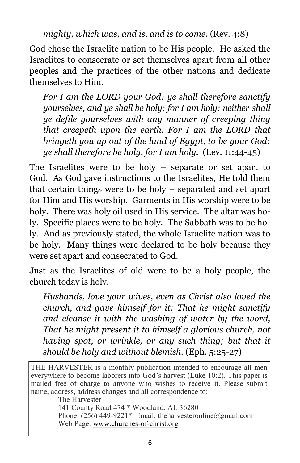*mighty, which was, and is, and is to come.* (Rev. 4:8)

God chose the Israelite nation to be His people. He asked the Israelites to consecrate or set themselves apart from all other peoples and the practices of the other nations and dedicate themselves to Him.

*For I am the LORD your God: ye shall therefore sanctify yourselves, and ye shall be holy; for I am holy: neither shall ye defile yourselves with any manner of creeping thing that creepeth upon the earth. For I am the LORD that bringeth you up out of the land of Egypt, to be your God: ye shall therefore be holy, for I am holy.* (Lev. 11:44-45)

The Israelites were to be holy – separate or set apart to God. As God gave instructions to the Israelites, He told them that certain things were to be holy – separated and set apart for Him and His worship. Garments in His worship were to be holy. There was holy oil used in His service. The altar was holy. Specific places were to be holy. The Sabbath was to be holy. And as previously stated, the whole Israelite nation was to be holy. Many things were declared to be holy because they were set apart and consecrated to God.

Just as the Israelites of old were to be a holy people, the church today is holy.

*Husbands, love your wives, even as Christ also loved the church, and gave himself for it; That he might sanctify and cleanse it with the washing of water by the word, That he might present it to himself a glorious church, not having spot, or wrinkle, or any such thing; but that it should be holy and without blemish.* (Eph. 5:25-27)

THE HARVESTER is a monthly publication intended to encourage all men everywhere to become laborers into God's harvest (Luke 10:2). This paper is mailed free of charge to anyone who wishes to receive it. Please submit name, address, address changes and all correspondence to:

The Harvester

141 County Road 474 \* Woodland, AL 36280

Phone: (256) 449-9221\* Email: theharvesteronline@gmail.com Web Page: www.churches-of-christ.org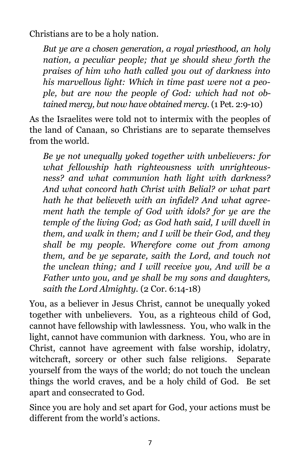Christians are to be a holy nation.

*But ye are a chosen generation, a royal priesthood, an holy nation, a peculiar people; that ye should shew forth the praises of him who hath called you out of darkness into his marvellous light: Which in time past were not a people, but are now the people of God: which had not obtained mercy, but now have obtained mercy.* (1 Pet. 2:9-10)

As the Israelites were told not to intermix with the peoples of the land of Canaan, so Christians are to separate themselves from the world.

*Be ye not unequally yoked together with unbelievers: for what fellowship hath righteousness with unrighteousness? and what communion hath light with darkness? And what concord hath Christ with Belial? or what part hath he that believeth with an infidel? And what agreement hath the temple of God with idols? for ye are the temple of the living God; as God hath said, I will dwell in them, and walk in them; and I will be their God, and they shall be my people. Wherefore come out from among them, and be ye separate, saith the Lord, and touch not the unclean thing; and I will receive you, And will be a Father unto you, and ye shall be my sons and daughters, saith the Lord Almighty.* (2 Cor. 6:14-18)

You, as a believer in Jesus Christ, cannot be unequally yoked together with unbelievers. You, as a righteous child of God, cannot have fellowship with lawlessness. You, who walk in the light, cannot have communion with darkness. You, who are in Christ, cannot have agreement with false worship, idolatry, witchcraft, sorcery or other such false religions. Separate yourself from the ways of the world; do not touch the unclean things the world craves, and be a holy child of God. Be set apart and consecrated to God.

Since you are holy and set apart for God, your actions must be different from the world's actions.